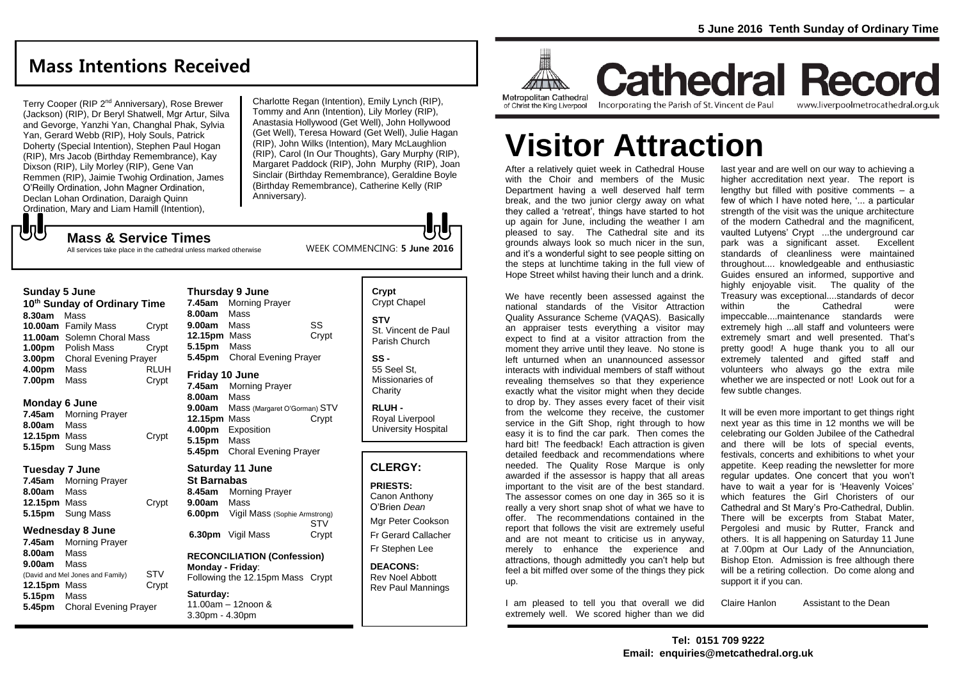## **Mass Intentions Received**

Terry Cooper (RIP 2<sup>nd</sup> Anniversary), Rose Brewer (Jackson) (RIP), Dr Beryl Shatwell, Mgr Artur, Silva and Gevorge, Yanzhi Yan, Changhal Phak, Sylvia Yan, Gerard Webb (RIP), Holy Souls, Patrick Doherty (Special Intention), Stephen Paul Hogan (RIP), Mrs Jacob (Birthday Remembrance), Kay Dixson (RIP), Lily Morley (RIP), Gene Van Remmen (RIP), Jaimie Twohig Ordination, James O'Reilly Ordination, John Magner Ordination, Declan Lohan Ordination, Daraigh Quinn Ordination, Mary and Liam Hamill (Intention),

**Mass & Service Times**

Charlotte Regan (Intention), Emily Lynch (RIP), Tommy and Ann (Intention), Lily Morley (RIP), Anastasia Hollywood (Get Well), John Hollywood (Get Well), Teresa Howard (Get Well), Julie Hagan (RIP), John Wilks (Intention), Mary McLaughlion (RIP), Carol (In Our Thoughts), Gary Murphy (RIP), Margaret Paddock (RIP), John Murphy (RIP), Joan Sinclair (Birthday Remembrance), Geraldine Boyle (Birthday Remembrance), Catherine Kelly (RIP Anniversary).

WEEK COMMENCING: **5 June 2016**

All services take place in the cathedral unless marked otherwise

#### **Sunday 5 June**

でし

| 10 <sup>th</sup> Sunday of Ordinary Time |                              |             |  |
|------------------------------------------|------------------------------|-------------|--|
| 8.30am                                   | Mass                         |             |  |
|                                          | 10.00am Family Mass          | Crypt       |  |
|                                          | 11.00am Solemn Choral Mass   |             |  |
|                                          | 1.00pm Polish Mass           | Crvpt       |  |
| 3.00 <sub>pm</sub>                       | <b>Choral Evening Prayer</b> |             |  |
| 4.00pm                                   | Mass                         | <b>RLUH</b> |  |
| 7.00pm                                   | Mass                         | Crypt       |  |

#### **Monday 6 June**

**7.45am** Morning Prayer **8.00am** Mass **12.15pm** Mass Crypt **5.15pm** Sung Mass

#### **Tuesday 7 June**

**7.45am** Morning Prayer **8.00am** Mass **12.15pm** Mass Crypt **5.15pm** Sung Mass

#### **Wednesday 8 June**

**7.45am** Morning Prayer **8.00am** Mass **9.00am** Mass (David and Mel Jones and Family) STV **12.15pm** Mass Crypt **5.15pm** Mass **5.45pm** Choral Evening Prayer

|                                                                                            | <b>Thursday 9 June</b>                                                                                              |       |
|--------------------------------------------------------------------------------------------|---------------------------------------------------------------------------------------------------------------------|-------|
| 7.45am                                                                                     | <b>Morning Prayer</b>                                                                                               |       |
| 8.00am                                                                                     | Mass                                                                                                                |       |
| 9.00am Mass                                                                                |                                                                                                                     | SS    |
| 12.15pm Mass                                                                               |                                                                                                                     | Crypt |
| 5.15pm                                                                                     | Mass                                                                                                                |       |
| 5.45pm                                                                                     | <b>Choral Evening Prayer</b>                                                                                        |       |
| Friday 10 June<br>7.45am<br>8.00am<br>9.00am<br>12.15pm Mass<br>4.00pm<br>5.15pm<br>5.45pm | <b>Morning Prayer</b><br>Mass<br>Mass (Margaret O'Gorman) STV<br>Exposition<br>Mass<br><b>Choral Evening Prayer</b> | Crypt |

#### **Saturday 11 June St Barnabas 8.45am** Morning Prayer **9.00am** Mass **6.00pm** Vigil Mass (Sophie Armstrong)

**STV 6.30pm** Vigil Mass Crypt

## **RECONCILIATION (Confession) Monday - Friday**: Following the 12.15pm Mass Crypt **Saturday:**

11.00am – 12noon & 3.30pm - 4.30pm

## **Crypt**  Crypt Chapel **STV** St. Vincent de Paul Parish Church

**SS -** 55 Seel St, Missionaries of **Charity** 

**RLUH -** Royal Liverpool University Hospital

## **CLERGY:**

**PRIESTS:** Canon Anthony O'Brien *Dean*

Mgr Peter Cookson Fr Gerard Callacher Fr Stephen Lee

**DEACONS:** Rev Noel Abbott Rev Paul Mannings



## **Cathedral Record** Incorporating the Parish of St. Vincent de Paul

www.liverpoolmetrocathedral.org.uk

# **Visitor Attraction**

After a relatively quiet week in Cathedral House with the Choir and members of the Music Department having a well deserved half term break, and the two junior clergy away on what they called a 'retreat', things have started to hot up again for June, including the weather I am pleased to say. The Cathedral site and its grounds always look so much nicer in the sun, and it's a wonderful sight to see people sitting on the steps at lunchtime taking in the full view of Hope Street whilst having their lunch and a drink.

We have recently been assessed against the national standards of the Visitor Attraction Quality Assurance Scheme (VAQAS). Basically an appraiser tests everything a visitor may expect to find at a visitor attraction from the moment they arrive until they leave. No stone is left unturned when an unannounced assessor interacts with individual members of staff without revealing themselves so that they experience exactly what the visitor might when they decide to drop by. They asses every facet of their visit from the welcome they receive, the customer service in the Gift Shop, right through to how easy it is to find the car park. Then comes the hard bit! The feedback! Each attraction is given detailed feedback and recommendations where needed. The Quality Rose Marque is only awarded if the assessor is happy that all areas important to the visit are of the best standard. The assessor comes on one day in 365 so it is really a very short snap shot of what we have to offer. The recommendations contained in the report that follows the visit are extremely useful and are not meant to criticise us in anyway, merely to enhance the experience and attractions, though admittedly you can't help but feel a bit miffed over some of the things they pick up.

I am pleased to tell you that overall we did extremely well. We scored higher than we did last year and are well on our way to achieving a higher accreditation next year. The report is lengthy but filled with positive comments  $-$  a few of which I have noted here, '... a particular strength of the visit was the unique architecture of the modern Cathedral and the magnificent, vaulted Lutyens' Crypt ...the underground car park was a significant asset. Excellent standards of cleanliness were maintained throughout.... knowledgeable and enthusiastic Guides ensured an informed, supportive and highly enjoyable visit. The quality of the Treasury was exceptional....standards of decor within the Cathedral were impeccable....maintenance standards were extremely high ...all staff and volunteers were extremely smart and well presented. That's pretty good! A huge thank you to all our extremely talented and gifted staff and volunteers who always go the extra mile whether we are inspected or not! Look out for a few subtle changes.

It will be even more important to get things right next year as this time in 12 months we will be celebrating our Golden Jubilee of the Cathedral and there will be lots of special events, festivals, concerts and exhibitions to whet your appetite. Keep reading the newsletter for more regular updates. One concert that you won't have to wait a year for is 'Heavenly Voices' which features the Girl Choristers of our Cathedral and St Mary's Pro-Cathedral, Dublin. There will be excerpts from Stabat Mater, Pergolesi and music by Rutter, Franck and others. It is all happening on Saturday 11 June at 7.00pm at Our Lady of the Annunciation, Bishop Eton. Admission is free although there will be a retiring collection. Do come along and support it if you can.

Claire Hanlon Assistant to the Dean